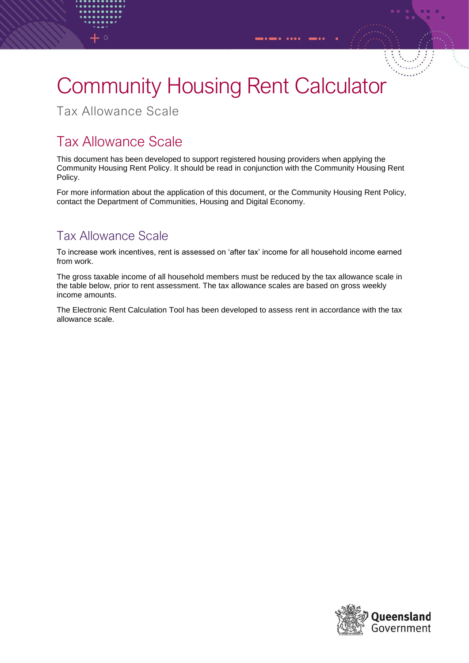## Community Housing Rent Calculator

Tax Allowance Scale

## Tax Allowance Scale

This document has been developed to support registered housing providers when applying the Community Housing Rent Policy. It should be read in conjunction with the Community Housing Rent Policy.

For more information about the application of this document, or the Community Housing Rent Policy, contact the Department of Communities, Housing and Digital Economy.

## Tax Allowance Scale

To increase work incentives, rent is assessed on 'after tax' income for all household income earned from work.

The gross taxable income of all household members must be reduced by the tax allowance scale in the table below, prior to rent assessment. The tax allowance scales are based on gross weekly income amounts.

The Electronic Rent Calculation Tool has been developed to assess rent in accordance with the tax allowance scale.

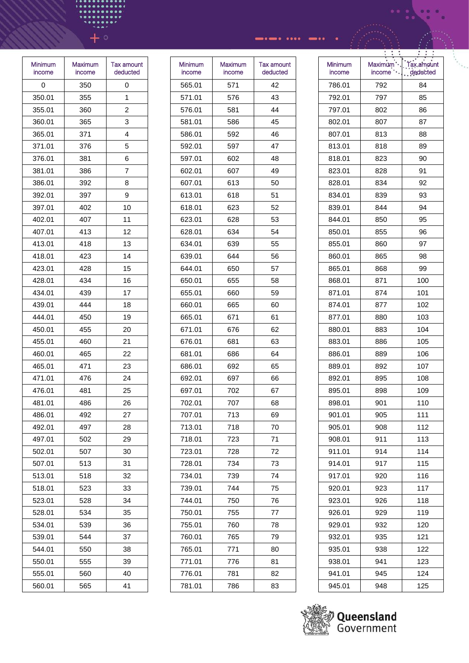| Minimum<br>income | Maximum<br>income | <b>Tax amount</b><br>deducted |
|-------------------|-------------------|-------------------------------|
| 0                 | 350               | 0                             |
| 350.01            | 355               | 1                             |
| 355.01            | 360               | 2                             |
| 360.01            | 365               | 3                             |
| 365.01            | 371               | 4                             |
| 371.01            | 376               | 5                             |
| 376.01            | 381               | 6                             |
| 381.01            | 386               | 7                             |
| 386.01            | 392               | 8                             |
| 392.01            | 397               | 9                             |
| 397.01            | 402               | 10                            |
| 402.01            | 407               | 11                            |
| 407.01            | 413               | 12                            |
| 413.01            | 418               | 13                            |
| 418.01            | 423               | 14                            |
| 423.01            | 428               | 15                            |
| 428.01            | 434               | 16                            |
| 434.01            | 439               | 17                            |
| 439.01            | 444               | 18                            |
| 444.01            | 450               | 19                            |
| 450.01            | 455               | 20                            |
| 455.01            | 460               | 21                            |
| 460.01            | 465               | 22                            |
| 465.01            | 471               | 23                            |
| 471.01            | 476               | 24                            |
| 476.01            | 481               | 25                            |
| 481.01            | 486               | 26                            |
| 486.01            | 492               | 27                            |
| 492.01            | 497               | 28                            |
| 497.01            | 502               | 29                            |
| 502.01            | 507               | 30                            |
| 507.01            | 513               | 31                            |
| 513.01            | 518               | 32                            |
| 518.01            | 523               | 33                            |
| 523.01            | 528               | 34                            |
| 528.01            | 534               | 35                            |
| 534.01            | 539               | 36                            |
| 539.01            | 544               | 37                            |
| 544.01            | 550               | 38                            |
| 550.01            | 555               | 39                            |
| 555.01            | 560               | 40                            |
| 560.01            | 565               | 41                            |

| Minimum<br>income | <b>Maximum</b><br>income | Tax amount<br>deducted |
|-------------------|--------------------------|------------------------|
| 565.01            | 571                      | 42                     |
| 571.01            | 576                      | 43                     |
| 576.01            | 581                      | 44                     |
| 581.01            | 586                      | 45                     |
| 586.01            | 592                      | 46                     |
| 592.01            | 597                      | 47                     |
| 597.01            | 602                      | 48                     |
| 602.01            | 607                      | 49                     |
| 607.01            | 613                      | 50                     |
| 613.01            | 618                      | 51                     |
| 618.01            | 623                      | 52                     |
| 623.01            | 628                      | 53                     |
| 628.01            | 634                      | 54                     |
| 634.01            | 639                      | 55                     |
| 639.01            | 644                      | 56                     |
| 644.01            | 650                      | 57                     |
| 650.01            | 655                      | 58                     |
| 655.01            | 660                      | 59                     |
| 660.01            | 665                      | 60                     |
| 665.01            | 671                      | 61                     |
| 671.01            | 676                      | 62                     |
| 676.01            | 681                      | 63                     |
| 681.01            | 686                      | 64                     |
| 686.01            | 692                      | 65                     |
| 692.01            | 697                      | 66                     |
| 697.01            | 702                      | 67                     |
| 702.01            | 707                      | 68                     |
| 707.01            | 713                      | 69                     |
| 713.01            | 718                      | 70                     |
| 718.01            | 723                      | 71                     |
| 723.01            | 728                      | 72                     |
| 728.01            | 734                      | 73                     |
| 734.01            | 739                      | 74                     |
| 739.01            | 744                      | 75                     |
| 744.01            | 750                      | 76                     |
| 750.01            | 755                      | 77                     |
| 755.01            | 760                      | 78                     |
| 760.01            | 765                      | 79                     |
| 765.01            | 771                      | 80                     |
| 771.01            | 776                      | 81                     |
| 776.01            | 781                      | 82                     |
| 781.01            | 786                      | 83                     |

|                   | Ξ,<br>÷<br>٠      | $\cdot$                |
|-------------------|-------------------|------------------------|
| Minimum<br>income | Maximum<br>income | Tax amount<br>deducted |
| 786.01            | 792               | 84                     |
| 792.01            | 797               | 85                     |
| 797.01            | 802               | 86                     |
| 802.01            | 807               | 87                     |
| 807.01            | 813               | 88                     |
| 813.01            | 818               | 89                     |
| 818.01            | 823               | 90                     |
| 823.01            | 828               | 91                     |
| 828.01            | 834               | 92                     |
| 834.01            | 839               | 93                     |
| 839.01            | 844               | 94                     |
| 844.01            | 850               | 95                     |
| 850.01            | 855               | 96                     |
| 855.01            | 860               | 97                     |
| 860.01            | 865               | 98                     |
| 865.01            | 868               | 99                     |
| 868.01            | 871               | 100                    |
| 871.01            | 874               | 101                    |
| 874.01            | 877               | 102                    |
| 877.01            | 880               | 103                    |
| 880.01            | 883               | 104                    |
| 883.01            | 886               | 105                    |
| 886.01            | 889               | 106                    |
| 889.01            | 892               | 107                    |
| 892.01            | 895               | 108                    |
| 895.01            | 898               | 109                    |
| 898.01            | 901               | 110                    |
| 901.01            | 905               | 111                    |
| 905.01            | 908               | 112                    |
| 908.01            | 911               | 113                    |
| 911.01            | 914               | 114                    |
| 914.01            | 917               | 115                    |
| 917.01            | 920               | 116                    |
| 920.01            | 923               | 117                    |
| 923.01            | 926               | 118                    |
| 926.01            | 929               | 119                    |
| 929.01            | 932               | 120                    |
| 932.01            | 935               | 121                    |
| 935.01            | 938               | 122                    |
| 938.01            | 941               | 123                    |
| 941.01            | 945               | 124                    |
| 945.01            | 948               | 125                    |

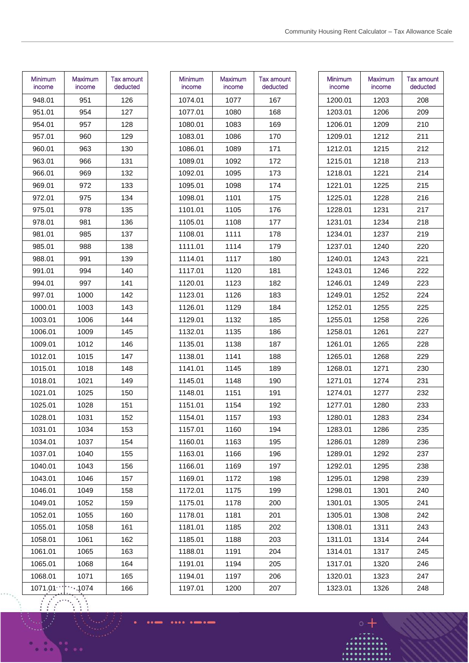| Minimum<br>income | Maximum<br>income | Tax amount<br>deducted |
|-------------------|-------------------|------------------------|
| 948.01            | 951               | 126                    |
| 951.01            | 954               | 127                    |
| 954.01            | 957               | 128                    |
| 957.01            | 960               | 129                    |
| 960.01            | 963               | 130                    |
| 963.01            | 966               | 131                    |
| 966.01            | 969               | 132                    |
| 969.01            | 972               | 133                    |
| 972.01            | 975               | 134                    |
| 975.01            | 978               | 135                    |
| 978.01            | 981               | 136                    |
| 981.01            | 985               | 137                    |
| 985.01            | 988               | 138                    |
| 988.01            | 991               | 139                    |
| 991.01            | 994               | 140                    |
| 994.01            | 997               | 141                    |
| 997.01            | 1000              | 142                    |
| 1000.01           | 1003              | 143                    |
| 1003.01           | 1006              | 144                    |
| 1006.01           | 1009              | 145                    |
| 1009.01           | 1012              | 146                    |
| 1012.01           | 1015              | 147                    |
| 1015.01           | 1018              | 148                    |
| 1018.01           | 1021              | 149                    |
| 1021.01           | 1025              | 150                    |
| 1025.01           | 1028              | 151                    |
| 1028.01           | 1031              | 152                    |
| 1031.01           | 1034              | 153                    |
| 1034.01           | 1037              | 154                    |
| 1037.01           | 1040              | 155                    |
| 1040.01           | 1043              | 156                    |
| 1043.01           | 1046              | 157                    |
| 1046.01           | 1049              | 158                    |
| 1049.01           | 1052              | 159                    |
| 1052.01           | 1055              | 160                    |
| 1055.01           | 1058              | 161                    |
| 1058.01           | 1061              | 162                    |
| 1061.01           | 1065              | 163                    |
| 1065.01           | 1068              | 164                    |
| 1068.01           | 1071              | 165                    |
| 1071.01           | 1074.             | 166                    |

 $\vdots$  $\vdots$ 

| Minimum<br>income | Maximum<br>income | Tax amount<br>deducted |
|-------------------|-------------------|------------------------|
| 1074.01           | 1077              | 167                    |
| 1077.01           | 1080              | 168                    |
| 1080.01           | 1083              | 169                    |
| 1083.01           | 1086              | 170                    |
| 1086.01           | 1089              | 171                    |
| 1089.01           | 1092              | 172                    |
| 1092.01           | 1095              | 173                    |
| 1095.01           | 1098              | 174                    |
| 1098.01           | 1101              | 175                    |
| 1101.01           | 1105              | 176                    |
| 1105.01           | 1108              | 177                    |
| 1108.01           | 1111              | 178                    |
| 1111.01           | 1114              | 179                    |
| 1114.01           | 1117              | 180                    |
| 1117.01           | 1120              | 181                    |
| 1120.01           | 1123              | 182                    |
| 1123.01           | 1126              | 183                    |
| 1126.01           | 1129              | 184                    |
| 1129.01           | 1132              | 185                    |
| 1132.01           | 1135              | 186                    |
| 1135.01           | 1138              | 187                    |
| 1138.01           | 1141              | 188                    |
| 1141.01           | 1145              | 189                    |
| 1145.01           | 1148              | 190                    |
| 1148.01           | 1151              | 191                    |
| 1151.01           | 1154              | 192                    |
| 1154.01           | 1157              | 193                    |
| 1157.01           | 1160              | 194                    |
| 1160.01           | 1163              | 195                    |
| 1163.01           | 1166              | 196                    |
| 1166.01           | 1169              | 197                    |
| 1169.01           | 1172              | 198                    |
| 1172.01           | 1175              | 199                    |
| 1175.01           | 1178              | 200                    |
| 1178.01           | 1181              | 201                    |
| 1181.01           | 1185              | 202                    |
| 1185.01           | 1188              | 203                    |
| 1188.01           | 1191              | 204                    |
| 1191.01           | 1194              | 205                    |
| 1194.01           | 1197              | 206                    |
| 1197.01           | 1200              | 207                    |
|                   |                   |                        |

....  $\bullet$ . . .

| Minimum<br>income | <b>Maximum</b><br>income | Tax amount<br>deducted |
|-------------------|--------------------------|------------------------|
| 1200.01           | 1203                     | 208                    |
| 1203.01           | 1206                     | 209                    |
| 1206.01           | 1209                     | 210                    |
| 1209.01           | 1212                     | 211                    |
| 1212.01           | 1215                     | 212                    |
| 1215.01           | 1218                     | 213                    |
| 1218.01           | 1221                     | 214                    |
| 1221.01           | 1225                     | 215                    |
| 1225.01           | 1228                     | 216                    |
| 1228.01           | 1231                     | 217                    |
| 1231.01           | 1234                     | 218                    |
| 1234.01           | 1237                     | 219                    |
| 1237.01           | 1240                     | 220                    |
| 1240.01           | 1243                     | 221                    |
| 1243.01           | 1246                     | 222                    |
| 1246.01           | 1249                     | 223                    |
| 1249.01           | 1252                     | 224                    |
| 1252.01           | 1255                     | 225                    |
| 1255.01           | 1258                     | 226                    |
| 1258.01           | 1261                     | 227                    |
| 1261.01           | 1265                     | 228                    |
| 1265.01           | 1268                     | 229                    |
| 1268.01           | 1271                     | 230                    |
| 1271.01           | 1274                     | 231                    |
| 1274.01           | 1277                     | 232                    |
| 1277.01           | 1280                     | 233                    |
| 1280.01           | 1283                     | 234                    |
| 1283.01           | 1286                     | 235                    |
| 1286.01           | 1289                     | 236                    |
| 1289.01           | 1292                     | 237                    |
| 1292.01           | 1295                     | 238                    |
| 1295.01           | 1298                     | 239                    |
| 1298.01           | 1301                     | 240                    |
| 1301.01           | 1305                     | 241                    |
| 1305.01           | 1308                     | 242                    |
| 1308.01           | 1311                     | 243                    |
| 1311.01           | 1314                     | 244                    |
| 1314.01           | 1317                     | 245                    |
| 1317.01           | 1320                     | 246                    |
| 1320.01           | 1323                     | 247                    |
| 1323.01           | 1326                     | 248                    |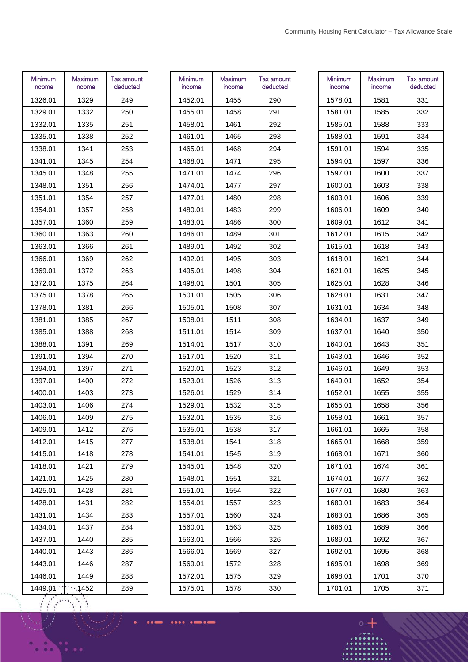| <b>Minimum</b><br>income | Maximum<br>income | <b>Tax amount</b><br>deducted |
|--------------------------|-------------------|-------------------------------|
| 1326.01                  | 1329              | 249                           |
| 1329.01                  | 1332              | 250                           |
| 1332.01                  | 1335              | 251                           |
| 1335.01                  | 1338              | 252                           |
| 1338.01                  | 1341              | 253                           |
| 1341.01                  | 1345              | 254                           |
| 1345.01                  | 1348              | 255                           |
| 1348.01                  | 1351              | 256                           |
| 1351.01                  | 1354              | 257                           |
| 1354.01                  | 1357              | 258                           |
| 1357.01                  | 1360              | 259                           |
| 1360.01                  | 1363              | 260                           |
| 1363.01                  | 1366              | 261                           |
| 1366.01                  | 1369              | 262                           |
| 1369.01                  | 1372              | 263                           |
| 1372.01                  | 1375              | 264                           |
| 1375.01                  | 1378              | 265                           |
| 1378.01                  | 1381              | 266                           |
| 1381.01                  | 1385              | 267                           |
| 1385.01                  | 1388              | 268                           |
| 1388.01                  | 1391              | 269                           |
| 1391.01                  | 1394              | 270                           |
| 1394.01                  | 1397              | 271                           |
| 1397.01                  | 1400              | 272                           |
| 1400.01                  | 1403              | 273                           |
| 1403.01                  | 1406              | 274                           |
| 1406.01                  | 1409              | 275                           |
| 1409.01                  | 1412              | 276                           |
| 1412.01                  | 1415              | 277                           |
| 1415.01                  | 1418              | 278                           |
| 1418.01                  | 1421              | 279                           |
| 1421.01                  | 1425              | 280                           |
| 1425.01                  | 1428              | 281                           |
| 1428.01                  | 1431              | 282                           |
| 1431.01                  | 1434              | 283                           |
| 1434.01                  | 1437              | 284                           |
| 1437.01                  | 1440              | 285                           |
| 1440.01                  | 1443              | 286                           |
| 1443.01                  | 1446              | 287                           |
| 1446.01                  | 1449              | 288                           |
| 1449.01                  | .1452             | 289                           |

| Minimum<br>income | Maximum<br>income | Tax amount<br>deducted |
|-------------------|-------------------|------------------------|
| 1452.01           | 1455              | 290                    |
| 1455.01           | 1458              | 291                    |
| 1458.01           | 1461              | 292                    |
| 1461.01           | 1465              | 293                    |
| 1465.01           | 1468              | 294                    |
| 1468.01           | 1471              | 295                    |
| 1471.01           | 1474              | 296                    |
| 1474.01           | 1477              | 297                    |
| 1477.01           | 1480              | 298                    |
| 1480.01           | 1483              | 299                    |
| 1483.01           | 1486              | 300                    |
| 1486.01           | 1489              | 301                    |
| 1489.01           | 1492              | 302                    |
| 1492.01           | 1495              | 303                    |
| 1495.01           | 1498              | 304                    |
| 1498.01           | 1501              | 305                    |
| 1501.01           | 1505              | 306                    |
| 1505.01           | 1508              | 307                    |
| 1508.01           | 1511              | 308                    |
| 1511.01           | 1514              | 309                    |
| 1514.01           | 1517              | 310                    |
| 1517.01           | 1520              | 311                    |
| 1520.01           | 1523              | 312                    |
| 1523.01           | 1526              | 313                    |
| 1526.01           | 1529              | 314                    |
| 1529.01           | 1532              | 315                    |
| 1532.01           | 1535              | 316                    |
| 1535.01           | 1538              | 317                    |
| 1538.01           | 1541              | 318                    |
| 1541.01           | 1545              | 319                    |
| 1545.01           | 1548              | 320                    |
| 1548.01           | 1551              | 321                    |
| 1551.01           | 1554              | 322                    |
| 1554.01           | 1557              | 323                    |
| 1557.01           | 1560              | 324                    |
| 1560.01           | 1563              | 325                    |
| 1563.01           | 1566              | 326                    |
| 1566.01           | 1569              | 327                    |
| 1569.01           | 1572              | 328                    |
| 1572.01           | 1575              | 329                    |
| 1575.01           | 1578              | 330                    |
|                   |                   |                        |

| Minimum<br>income | Maximum<br>income | Tax amount<br>deducted |
|-------------------|-------------------|------------------------|
| 1578.01           | 1581              | 331                    |
| 1581.01           | 1585              | 332                    |
| 1585.01           | 1588              | 333                    |
| 1588.01           | 1591              | 334                    |
| 1591.01           | 1594              | 335                    |
| 1594.01           | 1597              | 336                    |
| 1597.01           | 1600              | 337                    |
| 1600.01           | 1603              | 338                    |
| 1603.01           | 1606              | 339                    |
| 1606.01           | 1609              | 340                    |
| 1609.01           | 1612              | 341                    |
| 1612.01           | 1615              | 342                    |
| 1615.01           | 1618              | 343                    |
| 1618.01           | 1621              | 344                    |
| 1621.01           | 1625              | 345                    |
| 1625.01           | 1628              | 346                    |
| 1628.01           | 1631              | 347                    |
| 1631.01           | 1634              | 348                    |
| 1634.01           | 1637              | 349                    |
| 1637.01           | 1640              | 350                    |
| 1640.01           | 1643              | 351                    |
| 1643.01           | 1646              | 352                    |
| 1646.01           | 1649              | 353                    |
| 1649.01           | 1652              | 354                    |
| 1652.01           | 1655              | 355                    |
| 1655.01           | 1658              | 356                    |
| 1658.01           | 1661              | 357                    |
| 1661.01           | 1665              | 358                    |
| 1665.01           | 1668              | 359                    |
| 1668.01           | 1671              | 360                    |
| 1671.01           | 1674              | 361                    |
| 1674.01           | 1677              | 362                    |
| 1677.01           | 1680              | 363                    |
| 1680.01           | 1683              | 364                    |
| 1683.01           | 1686              | 365                    |
| 1686.01           | 1689              | 366                    |
| 1689.01           | 1692              | 367                    |
| 1692.01           | 1695              | 368                    |
| 1695.01           | 1698              | 369                    |
| 1698.01           | 1701              | 370                    |
| 1701.01           | 1705              | 371                    |

.....

....  $^{\circ}$ 

. . .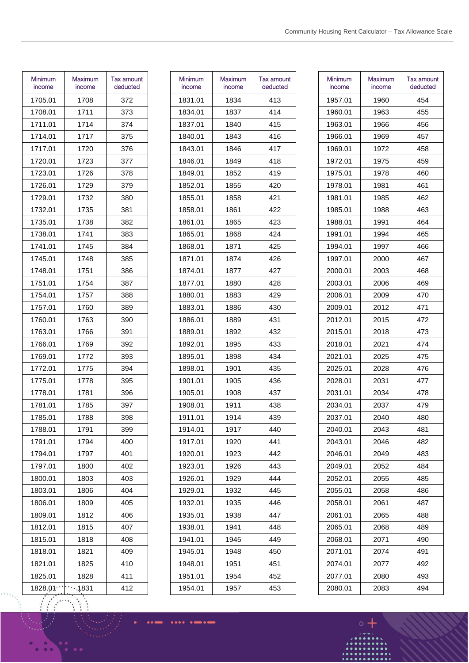| Minimum<br>income | Maximum<br>income | Tax amount<br>deducted |
|-------------------|-------------------|------------------------|
| 1705.01           | 1708              | 372                    |
| 1708.01           | 1711              | 373                    |
| 1711.01           | 1714              | 374                    |
| 1714.01           | 1717              | 375                    |
| 1717.01           | 1720              | 376                    |
| 1720.01           | 1723              | 377                    |
| 1723.01           | 1726              | 378                    |
| 1726.01           | 1729              | 379                    |
| 1729.01           | 1732              | 380                    |
| 1732.01           | 1735              | 381                    |
| 1735.01           | 1738              | 382                    |
| 1738.01           | 1741              | 383                    |
| 1741.01           | 1745              | 384                    |
| 1745.01           | 1748              | 385                    |
| 1748.01           | 1751              | 386                    |
| 1751.01           | 1754              | 387                    |
| 1754.01           | 1757              | 388                    |
| 1757.01           | 1760              | 389                    |
| 1760.01           | 1763              | 390                    |
| 1763.01           | 1766              | 391                    |
| 1766.01           | 1769              | 392                    |
| 1769.01           | 1772              | 393                    |
| 1772.01           | 1775              | 394                    |
| 1775.01           | 1778              | 395                    |
| 1778.01           | 1781              | 396                    |
| 1781.01           | 1785              | 397                    |
| 1785.01           | 1788              | 398                    |
| 1788.01           | 1791              | 399                    |
| 1791.01           | 1794              | 400                    |
| 1794.01           | 1797              | 401                    |
| 1797.01           | 1800              | 402                    |
| 1800.01           | 1803              | 403                    |
| 1803.01           | 1806              | 404                    |
| 1806.01           | 1809              | 405                    |
| 1809.01           | 1812              | 406                    |
| 1812.01           | 1815              | 407                    |
| 1815.01           | 1818              | 408                    |
| 1818.01           | 1821              | 409                    |
| 1821.01           | 1825              | 410                    |
| 1825.01           | 1828              | 411                    |
| 1828.01           | .1831             | 412                    |

| Minimum<br>income | Maximum<br>income | Tax amount<br>deducted |
|-------------------|-------------------|------------------------|
| 1831.01           | 1834              | 413                    |
| 1834.01           | 1837              | 414                    |
| 1837.01           | 1840              | 415                    |
| 1840.01           | 1843              | 416                    |
| 1843.01           | 1846              | 417                    |
| 1846.01           | 1849              | 418                    |
| 1849.01           | 1852              | 419                    |
| 1852.01           | 1855              | 420                    |
| 1855.01           | 1858              | 421                    |
| 1858.01           | 1861              | 422                    |
| 1861.01           | 1865              | 423                    |
| 1865.01           | 1868              | 424                    |
| 1868.01           | 1871              | 425                    |
| 1871.01           | 1874              | 426                    |
| 1874.01           | 1877              | 427                    |
| 1877.01           | 1880              | 428                    |
| 1880.01           | 1883              | 429                    |
| 1883.01           | 1886              | 430                    |
| 1886.01           | 1889              | 431                    |
| 1889.01           | 1892              | 432                    |
| 1892.01           | 1895              | 433                    |
| 1895.01           | 1898              | 434                    |
| 1898.01           | 1901              | 435                    |
| 1901.01           | 1905              | 436                    |
| 1905.01           | 1908              | 437                    |
| 1908.01           | 1911              | 438                    |
| 1911.01           | 1914              | 439                    |
| 1914.01           | 1917              | 440                    |
| 1917.01           | 1920              | 441                    |
| 1920.01           | 1923              | 442                    |
| 1923.01           | 1926              | 443                    |
| 1926.01           | 1929              | 444                    |
| 1929.01           | 1932              | 445                    |
| 1932.01           | 1935              | 446                    |
| 1935.01           | 1938              | 447                    |
| 1938.01           | 1941              | 448                    |
| 1941.01           | 1945              | 449                    |
| 1945.01           | 1948              | 450                    |
| 1948.01           | 1951              | 451                    |
| 1951.01           | 1954              | 452                    |
| 1954.01           | 1957              | 453                    |
|                   |                   |                        |

| Minimum<br>income | Maximum<br>income | Tax amount<br>deducted |
|-------------------|-------------------|------------------------|
| 1957.01           | 1960              | 454                    |
| 1960.01           | 1963              | 455                    |
| 1963.01           | 1966              | 456                    |
| 1966.01           | 1969              | 457                    |
| 1969.01           | 1972              | 458                    |
| 1972.01           | 1975              | 459                    |
| 1975.01           | 1978              | 460                    |
| 1978.01           | 1981              | 461                    |
| 1981.01           | 1985              | 462                    |
| 1985.01           | 1988              | 463                    |
| 1988.01           | 1991              | 464                    |
| 1991.01           | 1994              | 465                    |
| 1994.01           | 1997              | 466                    |
| 1997.01           | 2000              | 467                    |
| 2000.01           | 2003              | 468                    |
| 2003.01           | 2006              | 469                    |
| 2006.01           | 2009              | 470                    |
| 2009.01           | 2012              | 471                    |
| 2012.01           | 2015              | 472                    |
| 2015.01           | 2018              | 473                    |
| 2018.01           | 2021              | 474                    |
| 2021.01           | 2025              | 475                    |
| 2025.01           | 2028              | 476                    |
| 2028.01           | 2031              | 477                    |
| 2031.01           | 2034              | 478                    |
| 2034.01           | 2037              | 479                    |
| 2037.01           | 2040              | 480                    |
| 2040.01           | 2043              | 481                    |
| 2043.01           | 2046              | 482                    |
| 2046.01           | 2049              | 483                    |
| 2049.01           | 2052              | 484                    |
| 2052.01           | 2055              | 485                    |
| 2055.01           | 2058              | 486                    |
| 2058.01           | 2061              | 487                    |
| 2061.01           | 2065              | 488                    |
| 2065.01           | 2068              | 489                    |
| 2068.01           | 2071              | 490                    |
| 2071.01           | 2074              | 491                    |
| 2074.01           | 2077              | 492                    |
| 2077.01           | 2080              | 493                    |
| 2080.01           | 2083              | 494                    |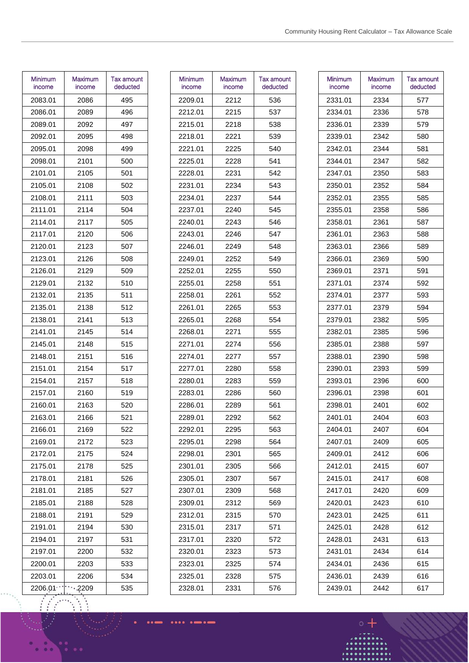| Minimum<br>income | Maximum<br>income | <b>Tax amount</b><br>deducted |
|-------------------|-------------------|-------------------------------|
| 2083.01           | 2086              | 495                           |
| 2086.01           | 2089              | 496                           |
| 2089.01           | 2092              | 497                           |
| 2092.01           | 2095              | 498                           |
| 2095.01           | 2098              | 499                           |
| 2098.01           | 2101              | 500                           |
| 2101.01           | 2105              | 501                           |
| 2105.01           | 2108              | 502                           |
| 2108.01           | 2111              | 503                           |
| 2111.01           | 2114              | 504                           |
| 2114.01           | 2117              | 505                           |
| 2117.01           | 2120              | 506                           |
| 2120.01           | 2123              | 507                           |
| 2123.01           | 2126              | 508                           |
| 2126.01           | 2129              | 509                           |
| 2129.01           | 2132              | 510                           |
| 2132.01           | 2135              | 511                           |
| 2135.01           | 2138              | 512                           |
| 2138.01           | 2141              | 513                           |
| 2141.01           | 2145              | 514                           |
| 2145.01           | 2148              | 515                           |
| 2148.01           | 2151              | 516                           |
| 2151.01           | 2154              | 517                           |
| 2154.01           | 2157              | 518                           |
| 2157.01           | 2160              | 519                           |
| 2160.01           | 2163              | 520                           |
| 2163.01           | 2166              | 521                           |
| 2166.01           | 2169              | 522                           |
| 2169.01           | 2172              | 523                           |
| 2172.01           | 2175              | 524                           |
| 2175.01           | 2178              | 525                           |
| 2178.01           | 2181              | 526                           |
| 2181.01           | 2185              | 527                           |
| 2185.01           | 2188              | 528                           |
| 2188.01           | 2191              | 529                           |
| 2191.01           | 2194              | 530                           |
| 2194.01           | 2197              | 531                           |
| 2197.01           | 2200              | 532                           |
| 2200.01           | 2203              | 533                           |
| 2203.01           | 2206              | 534                           |
| 2206.01           | ،2209             | 535                           |

| Minimum<br>income | Maximum<br>income | Tax amount<br>deducted |
|-------------------|-------------------|------------------------|
| 2209.01           | 2212              | 536                    |
| 2212.01           | 2215              | 537                    |
| 2215.01           | 2218              | 538                    |
| 2218.01           | 2221              | 539                    |
| 2221.01           | 2225              | 540                    |
| 2225.01           | 2228              | 541                    |
| 2228.01           | 2231              | 542                    |
| 2231.01           | 2234              | 543                    |
| 2234.01           | 2237              | 544                    |
| 2237.01           | 2240              | 545                    |
| 2240.01           | 2243              | 546                    |
| 2243.01           | 2246              | 547                    |
| 2246.01           | 2249              | 548                    |
| 2249.01           | 2252              | 549                    |
| 2252.01           | 2255              | 550                    |
| 2255.01           | 2258              | 551                    |
| 2258.01           | 2261              | 552                    |
| 2261.01           | 2265              | 553                    |
| 2265.01           | 2268              | 554                    |
| 2268.01           | 2271              | 555                    |
| 2271.01           | 2274              | 556                    |
| 2274.01           | 2277              | 557                    |
| 2277.01           | 2280              | 558                    |
| 2280.01           | 2283              | 559                    |
| 2283.01           | 2286              | 560                    |
| 2286.01           | 2289              | 561                    |
| 2289.01           | 2292              | 562                    |
| 2292.01           | 2295              | 563                    |
| 2295.01           | 2298              | 564                    |
| 2298.01           | 2301              | 565                    |
| 2301.01           | 2305              | 566                    |
| 2305.01           | 2307              | 567                    |
| 2307.01           | 2309              | 568                    |
| 2309.01           | 2312              | 569                    |
| 2312.01           | 2315              | 570                    |
| 2315.01           | 2317              | 571                    |
| 2317.01           | 2320              | 572                    |
| 2320.01           | 2323              | 573                    |
| 2323.01           | 2325              | 574                    |
| 2325.01           | 2328              | 575                    |
| 2328.01           | 2331              | 576                    |
|                   |                   |                        |

| Minimum<br>income | Maximum<br>income | Tax amount<br>deducted |
|-------------------|-------------------|------------------------|
| 2331.01           | 2334              | 577                    |
| 2334.01           | 2336              | 578                    |
| 2336.01           | 2339              | 579                    |
| 2339.01           | 2342              | 580                    |
| 2342.01           | 2344              | 581                    |
| 2344.01           | 2347              | 582                    |
| 2347.01           | 2350              | 583                    |
| 2350.01           | 2352              | 584                    |
| 2352.01           | 2355              | 585                    |
| 2355.01           | 2358              | 586                    |
| 2358.01           | 2361              | 587                    |
| 2361.01           | 2363              | 588                    |
| 2363.01           | 2366              | 589                    |
| 2366.01           | 2369              | 590                    |
| 2369.01           | 2371              | 591                    |
| 2371.01           | 2374              | 592                    |
| 2374.01           | 2377              | 593                    |
| 2377.01           | 2379              | 594                    |
| 2379.01           | 2382              | 595                    |
| 2382.01           | 2385              | 596                    |
| 2385.01           | 2388              | 597                    |
| 2388.01           | 2390              | 598                    |
| 2390.01           | 2393              | 599                    |
| 2393.01           | 2396              | 600                    |
| 2396.01           | 2398              | 601                    |
| 2398.01           | 2401              | 602                    |
| 2401.01           | 2404              | 603                    |
| 2404.01           | 2407              | 604                    |
| 2407.01           | 2409              | 605                    |
| 2409.01           | 2412              | 606                    |
| 2412.01           | 2415              | 607                    |
| 2415.01           | 2417              | 608                    |
| 2417.01           | 2420              | 609                    |
| 2420.01           | 2423              | 610                    |
| 2423.01           | 2425              | 611                    |
| 2425.01           | 2428              | 612                    |
| 2428.01           | 2431              | 613                    |
| 2431.01           | 2434              | 614                    |
| 2434.01           | 2436              | 615                    |
| 2436.01           | 2439              | 616                    |
| 2439.01           | 2442              | 617                    |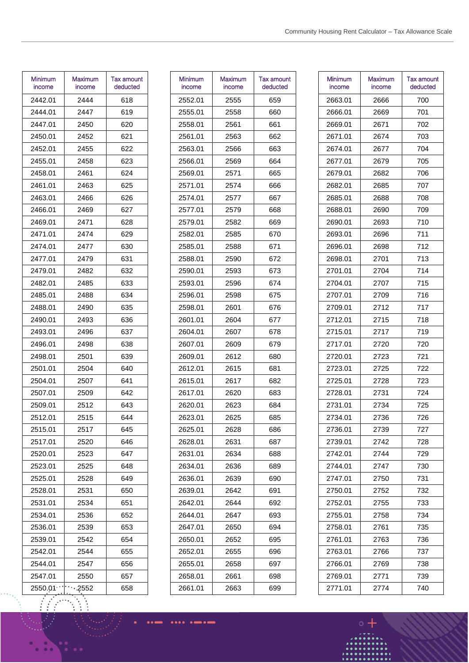| Minimum<br>income | Maximum<br>income | Tax amount<br>deducted |
|-------------------|-------------------|------------------------|
| 2442.01           | 2444              | 618                    |
| 2444.01           | 2447              | 619                    |
| 2447.01           | 2450              | 620                    |
| 2450.01           | 2452              | 621                    |
| 2452.01           | 2455              | 622                    |
| 2455.01           | 2458              | 623                    |
| 2458.01           | 2461              | 624                    |
| 2461.01           | 2463              | 625                    |
| 2463.01           | 2466              | 626                    |
| 2466.01           | 2469              | 627                    |
| 2469.01           | 2471              | 628                    |
| 2471.01           | 2474              | 629                    |
| 2474.01           | 2477              | 630                    |
| 2477.01           | 2479              | 631                    |
| 2479.01           | 2482              | 632                    |
| 2482.01           | 2485              | 633                    |
| 2485.01           | 2488              | 634                    |
| 2488.01           | 2490              | 635                    |
| 2490.01           | 2493              | 636                    |
| 2493.01           | 2496              | 637                    |
| 2496.01           | 2498              | 638                    |
| 2498.01           | 2501              | 639                    |
| 2501.01           | 2504              | 640                    |
| 2504.01           | 2507              | 641                    |
| 2507.01           | 2509              | 642                    |
| 2509.01           | 2512              | 643                    |
| 2512.01           | 2515              | 644                    |
| 2515.01           | 2517              | 645                    |
| 2517.01           | 2520              | 646                    |
| 2520.01           | 2523              | 647                    |
| 2523.01           | 2525              | 648                    |
| 2525.01           | 2528              | 649                    |
| 2528.01           | 2531              | 650                    |
| 2531.01           | 2534              | 651                    |
| 2534.01           | 2536              | 652                    |
| 2536.01           | 2539              | 653                    |
| 2539.01           | 2542              | 654                    |
| 2542.01           | 2544              | 655                    |
| 2544.01           | 2547              | 656                    |
| 2547.01           | 2550              | 657                    |
| 2550.01           | .2552             | 658                    |

| Minimum<br>income | Maximum<br>income | Tax amount<br>deducted |
|-------------------|-------------------|------------------------|
| 2552.01           | 2555              | 659                    |
| 2555.01           | 2558              | 660                    |
| 2558.01           | 2561              | 661                    |
| 2561.01           | 2563              | 662                    |
| 2563.01           | 2566              | 663                    |
| 2566.01           | 2569              | 664                    |
| 2569.01           | 2571              | 665                    |
| 2571.01           | 2574              | 666                    |
| 2574.01           | 2577              | 667                    |
| 2577.01           | 2579              | 668                    |
| 2579.01           | 2582              | 669                    |
| 2582.01           | 2585              | 670                    |
| 2585.01           | 2588              | 671                    |
| 2588.01           | 2590              | 672                    |
| 2590.01           | 2593              | 673                    |
| 2593.01           | 2596              | 674                    |
| 2596.01           | 2598              | 675                    |
| 2598.01           | 2601              | 676                    |
| 2601.01           | 2604              | 677                    |
| 2604.01           | 2607              | 678                    |
| 2607.01           | 2609              | 679                    |
| 2609.01           | 2612              | 680                    |
| 2612.01           | 2615              | 681                    |
| 2615.01           | 2617              | 682                    |
| 2617.01           | 2620              | 683                    |
| 2620.01           | 2623              | 684                    |
| 2623.01           | 2625              | 685                    |
| 2625.01           | 2628              | 686                    |
| 2628.01           | 2631              | 687                    |
| 2631.01           | 2634              | 688                    |
| 2634.01           | 2636              | 689                    |
| 2636.01           | 2639              | 690                    |
| 2639.01           | 2642              | 691                    |
| 2642.01           | 2644              | 692                    |
| 2644.01           | 2647              | 693                    |
| 2647.01           | 2650              | 694                    |
| 2650.01           | 2652              | 695                    |
| 2652.01           | 2655              | 696                    |
| 2655.01           | 2658              | 697                    |
| 2658.01           | 2661              | 698                    |
| 2661.01           | 2663              | 699                    |
|                   |                   |                        |

....  $\bullet$ . . .

| Minimum<br>income | Maximum<br>income | Tax amount<br>deducted |
|-------------------|-------------------|------------------------|
| 2663.01           | 2666              | 700                    |
| 2666.01           | 2669              | 701                    |
| 2669.01           | 2671              | 702                    |
| 2671.01           | 2674              | 703                    |
| 2674.01           | 2677              | 704                    |
| 2677.01           | 2679              | 705                    |
| 2679.01           | 2682              | 706                    |
| 2682.01           | 2685              | 707                    |
| 2685.01           | 2688              | 708                    |
| 2688.01           | 2690              | 709                    |
| 2690.01           | 2693              | 710                    |
| 2693.01           | 2696              | 711                    |
| 2696.01           | 2698              | 712                    |
| 2698.01           | 2701              | 713                    |
| 2701.01           | 2704              | 714                    |
| 2704.01           | 2707              | 715                    |
| 2707.01           | 2709              | 716                    |
| 2709.01           | 2712              | 717                    |
| 2712.01           | 2715              | 718                    |
| 2715.01           | 2717              | 719                    |
| 2717.01           | 2720              | 720                    |
| 2720.01           | 2723              | 721                    |
| 2723.01           | 2725              | 722                    |
| 2725.01           | 2728              | 723                    |
| 2728.01           | 2731              | 724                    |
| 2731.01           | 2734              | 725                    |
| 2734.01           | 2736              | 726                    |
| 2736.01           | 2739              | 727                    |
| 2739.01           | 2742              | 728                    |
| 2742.01           | 2744              | 729                    |
| 2744.01           | 2747              | 730                    |
| 2747.01           | 2750              | 731                    |
| 2750.01           | 2752              | 732                    |
| 2752.01           | 2755              | 733                    |
| 2755.01           | 2758              | 734                    |
| 2758.01           | 2761              | 735                    |
| 2761.01           | 2763              | 736                    |
| 2763.01           | 2766              | 737                    |
| 2766.01           | 2769              | 738                    |
| 2769.01           | 2771              | 739                    |
| 2771.01           | 2774              | 740                    |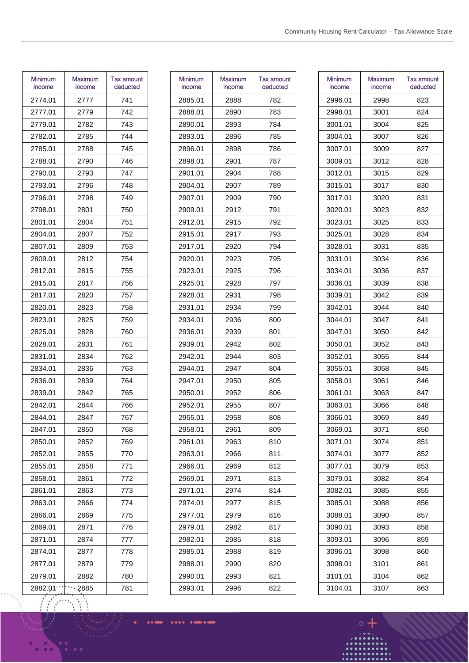| Minimum<br>income | Maximum<br>income | Tax amount<br>deducted |
|-------------------|-------------------|------------------------|
| 2774.01           | 2777              | 741                    |
| 2777.01           | 2779              | 742                    |
| 2779.01           | 2782              | 743                    |
| 2782.01           | 2785              | 744                    |
| 2785.01           | 2788              | 745                    |
| 2788.01           | 2790              | 746                    |
| 2790.01           | 2793              | 747                    |
| 2793.01           | 2796              | 748                    |
| 2796.01           | 2798              | 749                    |
| 2798.01           | 2801              | 750                    |
| 2801.01           | 2804              | 751                    |
| 2804.01           | 2807              | 752                    |
| 2807.01           | 2809              | 753                    |
| 2809.01           | 2812              | 754                    |
| 2812.01           | 2815              | 755                    |
| 2815.01           | 2817              | 756                    |
| 2817.01           | 2820              | 757                    |
| 2820.01           | 2823              | 758                    |
| 2823.01           | 2825              | 759                    |
| 2825.01           | 2828              | 760                    |
| 2828.01           | 2831              | 761                    |
| 2831.01           | 2834              | 762                    |
| 2834.01           | 2836              | 763                    |
| 2836.01           | 2839              | 764                    |
| 2839.01           | 2842              | 765                    |
| 2842.01           | 2844              | 766                    |
| 2844.01           | 2847              | 767                    |
| 2847.01           | 2850              | 768                    |
| 2850.01           | 2852              | 769                    |
| 2852.01           | 2855              | 770                    |
| 2855.01           | 2858              | 771                    |
| 2858.01           | 2861              | 772                    |
| 2861.01           | 2863              | 773                    |
| 2863.01           | 2866              | 774                    |
| 2866.01           | 2869              | 775                    |
| 2869.01           | 2871              | 776                    |
| 2871.01           | 2874              | 777                    |
| 2874.01           | 2877              | 778                    |
| 2877.01           | 2879              | 779                    |
| 2879.01           | 2882              | 780                    |
| 2882.01           | .2885             | 781                    |

| Minimum<br>income | Maximum<br>income | Tax amount<br>deducted |
|-------------------|-------------------|------------------------|
| 2885.01           | 2888              | 782                    |
| 2888.01           | 2890              | 783                    |
| 2890.01           | 2893              | 784                    |
| 2893.01           | 2896              | 785                    |
| 2896.01           | 2898              | 786                    |
| 2898.01           | 2901              | 787                    |
| 2901.01           | 2904              | 788                    |
| 2904.01           | 2907              | 789                    |
| 2907.01           | 2909              | 790                    |
| 2909.01           | 2912              | 791                    |
| 2912.01           | 2915              | 792                    |
| 2915.01           | 2917              | 793                    |
| 2917.01           | 2920              | 794                    |
| 2920.01           | 2923              | 795                    |
| 2923.01           | 2925              | 796                    |
| 2925.01           | 2928              | 797                    |
| 2928.01           | 2931              | 798                    |
| 2931.01           | 2934              | 799                    |
| 2934.01           | 2936              | 800                    |
| 2936.01           | 2939              | 801                    |
| 2939.01           | 2942              | 802                    |
| 2942.01           | 2944              | 803                    |
| 2944.01           | 2947              | 804                    |
| 2947.01           | 2950              | 805                    |
| 2950.01           | 2952              | 806                    |
| 2952.01           | 2955              | 807                    |
| 2955.01           | 2958              | 808                    |
| 2958.01           | 2961              | 809                    |
| 2961.01           | 2963              | 810                    |
| 2963.01           | 2966              | 811                    |
| 2966.01           | 2969              | 812                    |
| 2969.01           | 2971              | 813                    |
| 2971.01           | 2974              | 814                    |
| 2974.01           | 2977              | 815                    |
| 2977.01           | 2979              | 816                    |
| 2979.01           | 2982              | 817                    |
| 2982.01           | 2985              | 818                    |
| 2985.01           | 2988              | 819                    |
| 2988.01           | 2990              | 820                    |
| 2990.01           | 2993              | 821                    |
| 2993.01           | 2996              | 822                    |
|                   |                   |                        |

....  $\bullet$ . . .

| Minimum<br>income | Maximum<br>income | Tax amount<br>deducted |
|-------------------|-------------------|------------------------|
| 2996.01           | 2998              | 823                    |
| 2998.01           | 3001              | 824                    |
| 3001.01           | 3004              | 825                    |
| 3004.01           | 3007              | 826                    |
| 3007.01           | 3009              | 827                    |
| 3009.01           | 3012              | 828                    |
| 3012.01           | 3015              | 829                    |
| 3015.01           | 3017              | 830                    |
| 3017.01           | 3020              | 831                    |
| 3020.01           | 3023              | 832                    |
| 3023.01           | 3025              | 833                    |
| 3025.01           | 3028              | 834                    |
| 3028.01           | 3031              | 835                    |
| 3031.01           | 3034              | 836                    |
| 3034.01           | 3036              | 837                    |
| 3036.01           | 3039              | 838                    |
| 3039.01           | 3042              | 839                    |
| 3042.01           | 3044              | 840                    |
| 3044.01           | 3047              | 841                    |
| 3047.01           | 3050              | 842                    |
| 3050.01           | 3052              | 843                    |
| 3052.01           | 3055              | 844                    |
| 3055.01           | 3058              | 845                    |
| 3058.01           | 3061              | 846                    |
| 3061.01           | 3063              | 847                    |
| 3063.01           | 3066              | 848                    |
| 3066.01           | 3069              | 849                    |
| 3069.01           | 3071              | 850                    |
| 3071.01           | 3074              | 851                    |
| 3074.01           | 3077              | 852                    |
| 3077.01           | 3079              | 853                    |
| 3079.01           | 3082              | 854                    |
| 3082.01           | 3085              | 855                    |
| 3085.01           | 3088              | 856                    |
| 3088.01           | 3090              | 857                    |
| 3090.01           | 3093              | 858                    |
| 3093.01           | 3096              | 859                    |
| 3096.01           | 3098              | 860                    |
| 3098.01           | 3101              | 861                    |
| 3101.01           | 3104              | 862                    |
| 3104.01           | 3107              | 863                    |
|                   |                   |                        |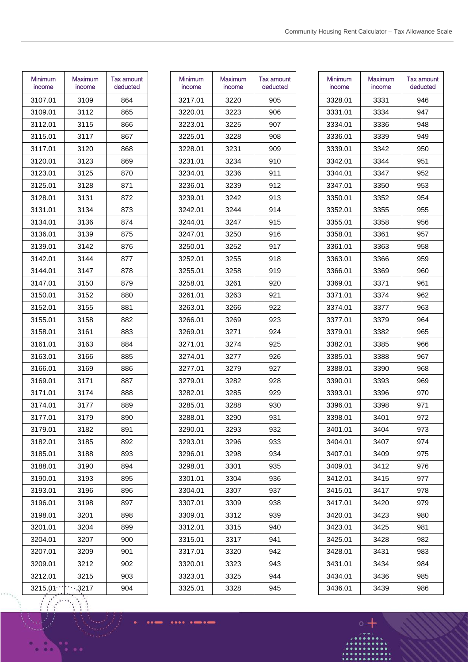| Minimum<br>income | Maximum<br>income | Tax amount<br>deducted |
|-------------------|-------------------|------------------------|
| 3107.01           | 3109              | 864                    |
| 3109.01           | 3112              | 865                    |
| 3112.01           | 3115              | 866                    |
| 3115.01           | 3117              | 867                    |
| 3117.01           | 3120              | 868                    |
| 3120.01           | 3123              | 869                    |
| 3123.01           | 3125              | 870                    |
| 3125.01           | 3128              | 871                    |
| 3128.01           | 3131              | 872                    |
| 3131.01           | 3134              | 873                    |
| 3134.01           | 3136              | 874                    |
| 3136.01           | 3139              | 875                    |
| 3139.01           | 3142              | 876                    |
| 3142.01           | 3144              | 877                    |
| 3144.01           | 3147              | 878                    |
| 3147.01           | 3150              | 879                    |
| 3150.01           | 3152              | 880                    |
| 3152.01           | 3155              | 881                    |
| 3155.01           | 3158              | 882                    |
| 3158.01           | 3161              | 883                    |
| 3161.01           | 3163              | 884                    |
| 3163.01           | 3166              | 885                    |
| 3166.01           | 3169              | 886                    |
| 3169.01           | 3171              | 887                    |
| 3171.01           | 3174              | 888                    |
| 3174.01           | 3177              | 889                    |
| 3177.01           | 3179              | 890                    |
| 3179.01           | 3182              | 891                    |
| 3182.01           | 3185              | 892                    |
| 3185.01           | 3188              | 893                    |
| 3188.01           | 3190              | 894                    |
| 3190.01           | 3193              | 895                    |
| 3193.01           | 3196              | 896                    |
| 3196.01           | 3198              | 897                    |
| 3198.01           | 3201              | 898                    |
| 3201.01           | 3204              | 899                    |
| 3204.01           | 3207              | 900                    |
| 3207.01           | 3209              | 901                    |
| 3209.01           | 3212              | 902                    |
| 3212.01           | 3215              | 903                    |
| 3215.01           | 3217              | 904                    |

 $\vdots$  $\ddot{\cdot}$ 

| Minimum<br>income | <b>Maximum</b><br>income | Tax amount<br>deducted |
|-------------------|--------------------------|------------------------|
| 3217.01           | 3220                     | 905                    |
| 3220.01           | 3223                     | 906                    |
| 3223.01           | 3225                     | 907                    |
| 3225.01           | 3228                     | 908                    |
| 3228.01           | 3231                     | 909                    |
| 3231.01           | 3234                     | 910                    |
| 3234.01           | 3236                     | 911                    |
| 3236.01           | 3239                     | 912                    |
| 3239.01           | 3242                     | 913                    |
| 3242.01           | 3244                     | 914                    |
| 3244.01           | 3247                     | 915                    |
| 3247.01           | 3250                     | 916                    |
| 3250.01           | 3252                     | 917                    |
| 3252.01           | 3255                     | 918                    |
| 3255.01           | 3258                     | 919                    |
| 3258.01           | 3261                     | 920                    |
| 3261.01           | 3263                     | 921                    |
| 3263.01           | 3266                     | 922                    |
| 3266.01           | 3269                     | 923                    |
| 3269.01           | 3271                     | 924                    |
| 3271.01           | 3274                     | 925                    |
| 3274.01           | 3277                     | 926                    |
| 3277.01           | 3279                     | 927                    |
| 3279.01           | 3282                     | 928                    |
| 3282.01           | 3285                     | 929                    |
| 3285.01           | 3288                     | 930                    |
| 3288.01           | 3290                     | 931                    |
| 3290.01           | 3293                     | 932                    |
| 3293.01           | 3296                     | 933                    |
| 3296.01           | 3298                     | 934                    |
| 3298.01           | 3301                     | 935                    |
| 3301.01           | 3304                     | 936                    |
| 3304.01           | 3307                     | 937                    |
| 3307.01           | 3309                     | 938                    |
| 3309.01           | 3312                     | 939                    |
| 3312.01           | 3315                     | 940                    |
| 3315.01           | 3317                     | 941                    |
| 3317.01           | 3320                     | 942                    |
| 3320.01           | 3323                     | 943                    |
| 3323.01           | 3325                     | 944                    |
| 3325.01           | 3328                     | 945                    |
|                   |                          |                        |

....  $^{\circ}$ . . .

| Minimum<br>income | Maximum<br>income | Tax amount<br>deducted |
|-------------------|-------------------|------------------------|
| 3328.01           | 3331              | 946                    |
| 3331.01           | 3334              | 947                    |
| 3334.01           | 3336              | 948                    |
| 3336.01           | 3339              | 949                    |
| 3339.01           | 3342              | 950                    |
| 3342.01           | 3344              | 951                    |
| 3344.01           | 3347              | 952                    |
| 3347.01           | 3350              | 953                    |
| 3350.01           | 3352              | 954                    |
| 3352.01           | 3355              | 955                    |
| 3355.01           | 3358              | 956                    |
| 3358.01           | 3361              | 957                    |
| 3361.01           | 3363              | 958                    |
| 3363.01           | 3366              | 959                    |
| 3366.01           | 3369              | 960                    |
| 3369.01           | 3371              | 961                    |
| 3371.01           | 3374              | 962                    |
| 3374.01           | 3377              | 963                    |
| 3377.01           | 3379              | 964                    |
| 3379.01           | 3382              | 965                    |
| 3382.01           | 3385              | 966                    |
| 3385.01           | 3388              | 967                    |
| 3388.01           | 3390              | 968                    |
| 3390.01           | 3393              | 969                    |
| 3393.01           | 3396              | 970                    |
| 3396.01           | 3398              | 971                    |
| 3398.01           | 3401              | 972                    |
| 3401.01           | 3404              | 973                    |
| 3404.01           | 3407              | 974                    |
| 3407.01           | 3409              | 975                    |
| 3409.01           | 3412              | 976                    |
| 3412.01           | 3415              | 977                    |
| 3415.01           | 3417              | 978                    |
| 3417.01           | 3420              | 979                    |
| 3420.01           | 3423              | 980                    |
| 3423.01           | 3425              | 981                    |
| 3425.01           | 3428              | 982                    |
| 3428.01           | 3431              | 983                    |
| 3431.01           | 3434              | 984                    |
| 3434.01           | 3436              | 985                    |
| 3436.01           | 3439              | 986                    |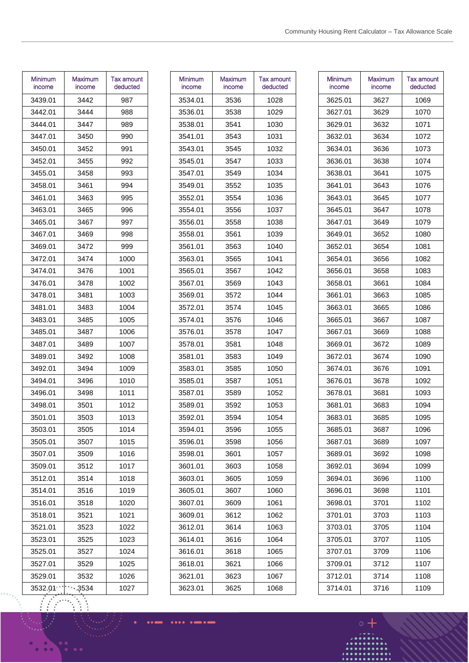| Minimum<br>income | Maximum<br>income | Tax amount<br>deducted |
|-------------------|-------------------|------------------------|
| 3439.01           | 3442              | 987                    |
| 3442.01           | 3444              | 988                    |
| 3444.01           | 3447              | 989                    |
| 3447.01           | 3450              | 990                    |
| 3450.01           | 3452              | 991                    |
| 3452.01           | 3455              | 992                    |
| 3455.01           | 3458              | 993                    |
| 3458.01           | 3461              | 994                    |
| 3461.01           | 3463              | 995                    |
| 3463.01           | 3465              | 996                    |
| 3465.01           | 3467              | 997                    |
| 3467.01           | 3469              | 998                    |
| 3469.01           | 3472              | 999                    |
| 3472.01           | 3474              | 1000                   |
| 3474.01           | 3476              | 1001                   |
| 3476.01           | 3478              | 1002                   |
| 3478.01           | 3481              | 1003                   |
| 3481.01           | 3483              | 1004                   |
| 3483.01           | 3485              | 1005                   |
| 3485.01           | 3487              | 1006                   |
| 3487.01           | 3489              | 1007                   |
| 3489.01           | 3492              | 1008                   |
| 3492.01           | 3494              | 1009                   |
| 3494.01           | 3496              | 1010                   |
| 3496.01           | 3498              | 1011                   |
| 3498.01           | 3501              | 1012                   |
| 3501.01           | 3503              | 1013                   |
| 3503.01           | 3505              | 1014                   |
| 3505.01           | 3507              | 1015                   |
| 3507.01           | 3509              | 1016                   |
| 3509.01           | 3512              | 1017                   |
| 3512.01           | 3514              | 1018                   |
| 3514.01           | 3516              | 1019                   |
| 3516.01           | 3518              | 1020                   |
| 3518.01           | 3521              | 1021                   |
| 3521.01           | 3523              | 1022                   |
| 3523.01           | 3525              | 1023                   |
| 3525.01           | 3527              | 1024                   |
| 3527.01           | 3529              | 1025                   |
| 3529.01           | 3532              | 1026                   |
| 3532.01           | 3534              | 1027                   |

| <b>Minimum</b><br>income | <b>Maximum</b><br>income | Tax amount<br>deducted |
|--------------------------|--------------------------|------------------------|
| 3534.01                  | 3536                     | 1028                   |
| 3536.01                  | 3538                     | 1029                   |
| 3538.01                  | 3541                     | 1030                   |
| 3541.01                  | 3543                     | 1031                   |
| 3543.01                  | 3545                     | 1032                   |
| 3545.01                  | 3547                     | 1033                   |
| 3547.01                  | 3549                     | 1034                   |
| 3549.01                  | 3552                     | 1035                   |
| 3552.01                  | 3554                     | 1036                   |
| 3554.01                  | 3556                     | 1037                   |
| 3556.01                  | 3558                     | 1038                   |
| 3558.01                  | 3561                     | 1039                   |
| 3561.01                  | 3563                     | 1040                   |
| 3563.01                  | 3565                     | 1041                   |
| 3565.01                  | 3567                     | 1042                   |
| 3567.01                  | 3569                     | 1043                   |
| 3569.01                  | 3572                     | 1044                   |
| 3572.01                  | 3574                     | 1045                   |
| 3574.01                  | 3576                     | 1046                   |
| 3576.01                  | 3578                     | 1047                   |
| 3578.01                  | 3581                     | 1048                   |
| 3581.01                  | 3583                     | 1049                   |
| 3583.01                  | 3585                     | 1050                   |
| 3585.01                  | 3587                     | 1051                   |
| 3587.01                  | 3589                     | 1052                   |
| 3589.01                  | 3592                     | 1053                   |
| 3592.01                  | 3594                     | 1054                   |
| 3594.01                  | 3596                     | 1055                   |
| 3596.01                  | 3598                     | 1056                   |
| 3598.01                  | 3601                     | 1057                   |
| 3601.01                  | 3603                     | 1058                   |
| 3603.01                  | 3605                     | 1059                   |
| 3605.01                  | 3607                     | 1060                   |
| 3607.01                  | 3609                     | 1061                   |
| 3609.01                  | 3612                     | 1062                   |
| 3612.01                  | 3614                     | 1063                   |
| 3614.01                  | 3616                     | 1064                   |
| 3616.01                  | 3618                     | 1065                   |
| 3618.01                  | 3621                     | 1066                   |
| 3621.01                  | 3623                     | 1067                   |
| 3623.01                  | 3625                     | 1068                   |

....  $\ddot{\phantom{a}}$ . . .

| Minimum<br>income | Maximum<br>income | Tax amount<br>deducted |
|-------------------|-------------------|------------------------|
| 3625.01           | 3627              | 1069                   |
| 3627.01           | 3629              | 1070                   |
| 3629.01           | 3632              | 1071                   |
| 3632.01           | 3634              | 1072                   |
| 3634.01           | 3636              | 1073                   |
| 3636.01           | 3638              | 1074                   |
| 3638.01           | 3641              | 1075                   |
| 3641.01           | 3643              | 1076                   |
| 3643.01           | 3645              | 1077                   |
| 3645.01           | 3647              | 1078                   |
| 3647.01           | 3649              | 1079                   |
| 3649.01           | 3652              | 1080                   |
| 3652.01           | 3654              | 1081                   |
| 3654.01           | 3656              | 1082                   |
| 3656.01           | 3658              | 1083                   |
| 3658.01           | 3661              | 1084                   |
| 3661.01           | 3663              | 1085                   |
| 3663.01           | 3665              | 1086                   |
| 3665.01           | 3667              | 1087                   |
| 3667.01           | 3669              | 1088                   |
| 3669.01           | 3672              | 1089                   |
| 3672.01           | 3674              | 1090                   |
| 3674.01           | 3676              | 1091                   |
| 3676.01           | 3678              | 1092                   |
| 3678.01           | 3681              | 1093                   |
| 3681.01           | 3683              | 1094                   |
| 3683.01           | 3685              | 1095                   |
| 3685.01           | 3687              | 1096                   |
| 3687.01           | 3689              | 1097                   |
| 3689.01           | 3692              | 1098                   |
| 3692.01           | 3694              | 1099                   |
| 3694.01           | 3696              | 1100                   |
| 3696.01           | 3698              | 1101                   |
| 3698.01           | 3701              | 1102                   |
| 3701.01           | 3703              | 1103                   |
| 3703.01           | 3705              | 1104                   |
| 3705.01           | 3707              | 1105                   |
| 3707.01           | 3709              | 1106                   |
| 3709.01           | 3712              | 1107                   |
| 3712.01           | 3714              | 1108                   |
| 3714.01           | 3716              | 1109                   |

 $\bullet\bullet\bullet$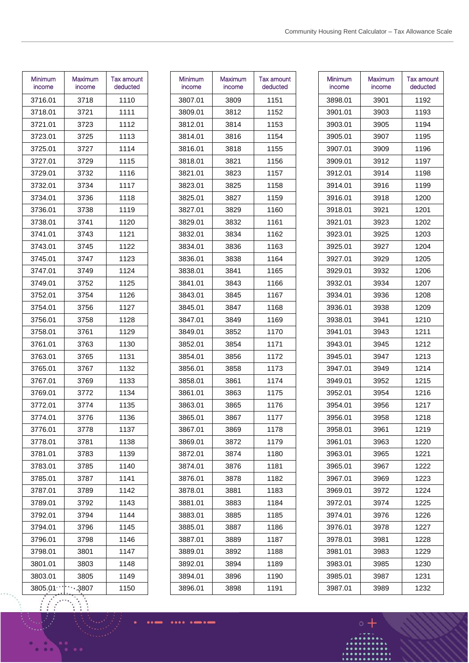| Minimum<br>income | Maximum<br>income | <b>Tax amount</b><br>deducted |
|-------------------|-------------------|-------------------------------|
| 3716.01           | 3718              | 1110                          |
| 3718.01           | 3721              | 1111                          |
| 3721.01           | 3723              | 1112                          |
| 3723.01           | 3725              | 1113                          |
| 3725.01           | 3727              | 1114                          |
| 3727.01           | 3729              | 1115                          |
| 3729.01           | 3732              | 1116                          |
| 3732.01           | 3734              | 1117                          |
| 3734.01           | 3736              | 1118                          |
| 3736.01           | 3738              | 1119                          |
| 3738.01           | 3741              | 1120                          |
| 3741.01           | 3743              | 1121                          |
| 3743.01           | 3745              | 1122                          |
| 3745.01           | 3747              | 1123                          |
| 3747.01           | 3749              | 1124                          |
| 3749.01           | 3752              | 1125                          |
| 3752.01           | 3754              | 1126                          |
| 3754.01           | 3756              | 1127                          |
| 3756.01           | 3758              | 1128                          |
| 3758.01           | 3761              | 1129                          |
| 3761.01           | 3763              | 1130                          |
| 3763.01           | 3765              | 1131                          |
| 3765.01           | 3767              | 1132                          |
| 3767.01           | 3769              | 1133                          |
| 3769.01           | 3772              | 1134                          |
| 3772.01           | 3774              | 1135                          |
| 3774.01           | 3776              | 1136                          |
| 3776.01           | 3778              | 1137                          |
| 3778.01           | 3781              | 1138                          |
| 3781.01           | 3783              | 1139                          |
| 3783.01           | 3785              | 1140                          |
| 3785.01           | 3787              | 1141                          |
| 3787.01           | 3789              | 1142                          |
| 3789.01           | 3792              | 1143                          |
| 3792.01           | 3794              | 1144                          |
| 3794.01           | 3796              | 1145                          |
| 3796.01           | 3798              | 1146                          |
| 3798.01           | 3801              | 1147                          |
| 3801.01           | 3803              | 1148                          |
| 3803.01           | 3805              | 1149                          |
| 3805.01           | 3807              | 1150                          |

| Minimum<br>income | Maximum<br>income | Tax amount<br>deducted |
|-------------------|-------------------|------------------------|
| 3807.01           | 3809              | 1151                   |
| 3809.01           | 3812              | 1152                   |
| 3812.01           | 3814              | 1153                   |
| 3814.01           | 3816              | 1154                   |
| 3816.01           | 3818              | 1155                   |
| 3818.01           | 3821              | 1156                   |
| 3821.01           | 3823              | 1157                   |
| 3823.01           | 3825              | 1158                   |
| 3825.01           | 3827              | 1159                   |
| 3827.01           | 3829              | 1160                   |
| 3829.01           | 3832              | 1161                   |
| 3832.01           | 3834              | 1162                   |
| 3834.01           | 3836              | 1163                   |
| 3836.01           | 3838              | 1164                   |
| 3838.01           | 3841              | 1165                   |
| 3841.01           | 3843              | 1166                   |
| 3843.01           | 3845              | 1167                   |
| 3845.01           | 3847              | 1168                   |
| 3847.01           | 3849              | 1169                   |
| 3849.01           | 3852              | 1170                   |
| 3852.01           | 3854              | 1171                   |
| 3854.01           | 3856              | 1172                   |
| 3856.01           | 3858              | 1173                   |
| 3858.01           | 3861              | 1174                   |
| 3861.01           | 3863              | 1175                   |
| 3863.01           | 3865              | 1176                   |
| 3865.01           | 3867              | 1177                   |
| 3867.01           | 3869              | 1178                   |
| 3869.01           | 3872              | 1179                   |
| 3872.01           | 3874              | 1180                   |
| 3874.01           | 3876              | 1181                   |
| 3876.01           | 3878              | 1182                   |
| 3878.01           | 3881              | 1183                   |
| 3881.01           | 3883              | 1184                   |
| 3883.01           | 3885              | 1185                   |
| 3885.01           | 3887              | 1186                   |
| 3887.01           | 3889              | 1187                   |
| 3889.01           | 3892              | 1188                   |
| 3892.01           | 3894              | 1189                   |
| 3894.01           | 3896              | 1190                   |
| 3896.01           | 3898              | 1191                   |
|                   |                   |                        |

....  $\bullet$ . . .

| Minimum<br>Maximum<br>Tax amount<br>income<br>deducted<br>income<br>3898.01<br>3901<br>1192<br>3901.01<br>1193<br>3903<br>1194<br>3903.01<br>3905<br>1195<br>3905.01<br>3907<br>3907.01<br>1196<br>3909<br>3909.01<br>3912<br>1197<br>3914<br>1198<br>3912.01<br>1199<br>3914.01<br>3916<br>3916.01<br>3918<br>1200<br>1201<br>3918.01<br>3921<br>3921.01<br>3923<br>1202<br>3923.01<br>3925<br>1203<br>3925.01<br>3927<br>1204<br>3927.01<br>3929<br>1205<br>1206<br>3929.01<br>3932<br>3932.01<br>1207<br>3934<br>3934.01<br>3936<br>1208<br>3936.01<br>3938<br>1209<br>3938.01<br>3941<br>1210<br>1211<br>3941.01<br>3943<br>3943.01<br>1212<br>3945<br>3945.01<br>3947<br>1213<br>3947.01<br>3949<br>1214<br>3949.01<br>3952<br>1215<br>3952.01<br>3954<br>1216<br>3954.01<br>3956<br>1217<br>3956.01<br>1218<br>3958<br>1219<br>3958.01<br>3961<br>3961.01<br>3963<br>1220<br>3963.01<br>3965<br>1221<br>3965.01<br>1222<br>3967<br>3967.01<br>3969<br>1223<br>1224<br>3969.01<br>3972<br>3972.01<br>3974<br>1225<br>1226<br>3974.01<br>3976<br>3976.01<br>3978<br>1227 |         |      |      |
|------------------------------------------------------------------------------------------------------------------------------------------------------------------------------------------------------------------------------------------------------------------------------------------------------------------------------------------------------------------------------------------------------------------------------------------------------------------------------------------------------------------------------------------------------------------------------------------------------------------------------------------------------------------------------------------------------------------------------------------------------------------------------------------------------------------------------------------------------------------------------------------------------------------------------------------------------------------------------------------------------------------------------------------------------------------------------|---------|------|------|
|                                                                                                                                                                                                                                                                                                                                                                                                                                                                                                                                                                                                                                                                                                                                                                                                                                                                                                                                                                                                                                                                              |         |      |      |
|                                                                                                                                                                                                                                                                                                                                                                                                                                                                                                                                                                                                                                                                                                                                                                                                                                                                                                                                                                                                                                                                              |         |      |      |
|                                                                                                                                                                                                                                                                                                                                                                                                                                                                                                                                                                                                                                                                                                                                                                                                                                                                                                                                                                                                                                                                              |         |      |      |
|                                                                                                                                                                                                                                                                                                                                                                                                                                                                                                                                                                                                                                                                                                                                                                                                                                                                                                                                                                                                                                                                              |         |      |      |
|                                                                                                                                                                                                                                                                                                                                                                                                                                                                                                                                                                                                                                                                                                                                                                                                                                                                                                                                                                                                                                                                              |         |      |      |
|                                                                                                                                                                                                                                                                                                                                                                                                                                                                                                                                                                                                                                                                                                                                                                                                                                                                                                                                                                                                                                                                              |         |      |      |
|                                                                                                                                                                                                                                                                                                                                                                                                                                                                                                                                                                                                                                                                                                                                                                                                                                                                                                                                                                                                                                                                              |         |      |      |
|                                                                                                                                                                                                                                                                                                                                                                                                                                                                                                                                                                                                                                                                                                                                                                                                                                                                                                                                                                                                                                                                              |         |      |      |
|                                                                                                                                                                                                                                                                                                                                                                                                                                                                                                                                                                                                                                                                                                                                                                                                                                                                                                                                                                                                                                                                              |         |      |      |
|                                                                                                                                                                                                                                                                                                                                                                                                                                                                                                                                                                                                                                                                                                                                                                                                                                                                                                                                                                                                                                                                              |         |      |      |
|                                                                                                                                                                                                                                                                                                                                                                                                                                                                                                                                                                                                                                                                                                                                                                                                                                                                                                                                                                                                                                                                              |         |      |      |
|                                                                                                                                                                                                                                                                                                                                                                                                                                                                                                                                                                                                                                                                                                                                                                                                                                                                                                                                                                                                                                                                              |         |      |      |
|                                                                                                                                                                                                                                                                                                                                                                                                                                                                                                                                                                                                                                                                                                                                                                                                                                                                                                                                                                                                                                                                              |         |      |      |
|                                                                                                                                                                                                                                                                                                                                                                                                                                                                                                                                                                                                                                                                                                                                                                                                                                                                                                                                                                                                                                                                              |         |      |      |
|                                                                                                                                                                                                                                                                                                                                                                                                                                                                                                                                                                                                                                                                                                                                                                                                                                                                                                                                                                                                                                                                              |         |      |      |
|                                                                                                                                                                                                                                                                                                                                                                                                                                                                                                                                                                                                                                                                                                                                                                                                                                                                                                                                                                                                                                                                              |         |      |      |
|                                                                                                                                                                                                                                                                                                                                                                                                                                                                                                                                                                                                                                                                                                                                                                                                                                                                                                                                                                                                                                                                              |         |      |      |
|                                                                                                                                                                                                                                                                                                                                                                                                                                                                                                                                                                                                                                                                                                                                                                                                                                                                                                                                                                                                                                                                              |         |      |      |
|                                                                                                                                                                                                                                                                                                                                                                                                                                                                                                                                                                                                                                                                                                                                                                                                                                                                                                                                                                                                                                                                              |         |      |      |
|                                                                                                                                                                                                                                                                                                                                                                                                                                                                                                                                                                                                                                                                                                                                                                                                                                                                                                                                                                                                                                                                              |         |      |      |
|                                                                                                                                                                                                                                                                                                                                                                                                                                                                                                                                                                                                                                                                                                                                                                                                                                                                                                                                                                                                                                                                              |         |      |      |
|                                                                                                                                                                                                                                                                                                                                                                                                                                                                                                                                                                                                                                                                                                                                                                                                                                                                                                                                                                                                                                                                              |         |      |      |
|                                                                                                                                                                                                                                                                                                                                                                                                                                                                                                                                                                                                                                                                                                                                                                                                                                                                                                                                                                                                                                                                              |         |      |      |
|                                                                                                                                                                                                                                                                                                                                                                                                                                                                                                                                                                                                                                                                                                                                                                                                                                                                                                                                                                                                                                                                              |         |      |      |
|                                                                                                                                                                                                                                                                                                                                                                                                                                                                                                                                                                                                                                                                                                                                                                                                                                                                                                                                                                                                                                                                              |         |      |      |
|                                                                                                                                                                                                                                                                                                                                                                                                                                                                                                                                                                                                                                                                                                                                                                                                                                                                                                                                                                                                                                                                              |         |      |      |
|                                                                                                                                                                                                                                                                                                                                                                                                                                                                                                                                                                                                                                                                                                                                                                                                                                                                                                                                                                                                                                                                              |         |      |      |
|                                                                                                                                                                                                                                                                                                                                                                                                                                                                                                                                                                                                                                                                                                                                                                                                                                                                                                                                                                                                                                                                              |         |      |      |
|                                                                                                                                                                                                                                                                                                                                                                                                                                                                                                                                                                                                                                                                                                                                                                                                                                                                                                                                                                                                                                                                              |         |      |      |
|                                                                                                                                                                                                                                                                                                                                                                                                                                                                                                                                                                                                                                                                                                                                                                                                                                                                                                                                                                                                                                                                              |         |      |      |
|                                                                                                                                                                                                                                                                                                                                                                                                                                                                                                                                                                                                                                                                                                                                                                                                                                                                                                                                                                                                                                                                              |         |      |      |
|                                                                                                                                                                                                                                                                                                                                                                                                                                                                                                                                                                                                                                                                                                                                                                                                                                                                                                                                                                                                                                                                              |         |      |      |
|                                                                                                                                                                                                                                                                                                                                                                                                                                                                                                                                                                                                                                                                                                                                                                                                                                                                                                                                                                                                                                                                              |         |      |      |
|                                                                                                                                                                                                                                                                                                                                                                                                                                                                                                                                                                                                                                                                                                                                                                                                                                                                                                                                                                                                                                                                              |         |      |      |
|                                                                                                                                                                                                                                                                                                                                                                                                                                                                                                                                                                                                                                                                                                                                                                                                                                                                                                                                                                                                                                                                              |         |      |      |
|                                                                                                                                                                                                                                                                                                                                                                                                                                                                                                                                                                                                                                                                                                                                                                                                                                                                                                                                                                                                                                                                              |         |      |      |
|                                                                                                                                                                                                                                                                                                                                                                                                                                                                                                                                                                                                                                                                                                                                                                                                                                                                                                                                                                                                                                                                              |         |      |      |
|                                                                                                                                                                                                                                                                                                                                                                                                                                                                                                                                                                                                                                                                                                                                                                                                                                                                                                                                                                                                                                                                              | 3978.01 | 3981 | 1228 |
| 3981.01<br>3983<br>1229                                                                                                                                                                                                                                                                                                                                                                                                                                                                                                                                                                                                                                                                                                                                                                                                                                                                                                                                                                                                                                                      |         |      |      |
| 1230<br>3983.01<br>3985                                                                                                                                                                                                                                                                                                                                                                                                                                                                                                                                                                                                                                                                                                                                                                                                                                                                                                                                                                                                                                                      |         |      |      |
| 3985.01<br>1231<br>3987                                                                                                                                                                                                                                                                                                                                                                                                                                                                                                                                                                                                                                                                                                                                                                                                                                                                                                                                                                                                                                                      |         |      |      |
| 3987.01<br>3989<br>1232                                                                                                                                                                                                                                                                                                                                                                                                                                                                                                                                                                                                                                                                                                                                                                                                                                                                                                                                                                                                                                                      |         |      |      |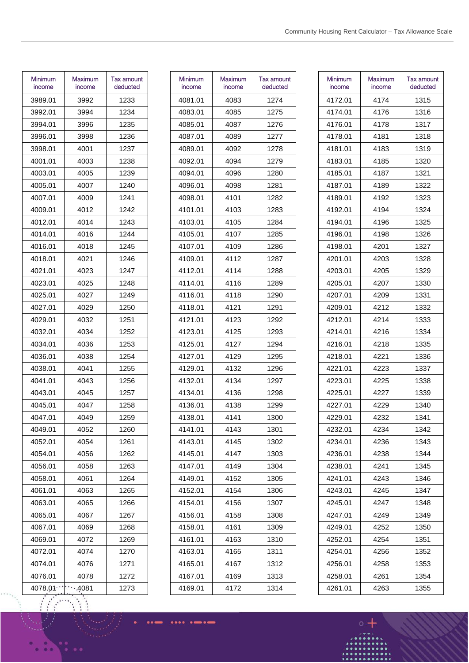| Minimum<br>income | Maximum<br>income | Tax amount<br>deducted |
|-------------------|-------------------|------------------------|
| 3989.01           | 3992              | 1233                   |
| 3992.01           | 3994              | 1234                   |
| 3994.01           | 3996              | 1235                   |
| 3996.01           | 3998              | 1236                   |
| 3998.01           | 4001              | 1237                   |
| 4001.01           | 4003              | 1238                   |
| 4003.01           | 4005              | 1239                   |
| 4005.01           | 4007              | 1240                   |
| 4007.01           | 4009              | 1241                   |
| 4009.01           | 4012              | 1242                   |
| 4012.01           | 4014              | 1243                   |
| 4014.01           | 4016              | 1244                   |
| 4016.01           | 4018              | 1245                   |
| 4018.01           | 4021              | 1246                   |
| 4021.01           | 4023              | 1247                   |
| 4023.01           | 4025              | 1248                   |
| 4025.01           | 4027              | 1249                   |
| 4027.01           | 4029              | 1250                   |
| 4029.01           | 4032              | 1251                   |
| 4032.01           | 4034              | 1252                   |
| 4034.01           | 4036              | 1253                   |
| 4036.01           | 4038              | 1254                   |
| 4038.01           | 4041              | 1255                   |
| 4041.01           | 4043              | 1256                   |
| 4043.01           | 4045              | 1257                   |
| 4045.01           | 4047              | 1258                   |
| 4047.01           | 4049              | 1259                   |
| 4049.01           | 4052              | 1260                   |
| 4052.01           | 4054              | 1261                   |
| 4054.01           | 4056              | 1262                   |
| 4056.01           | 4058              | 1263                   |
| 4058.01           | 4061              | 1264                   |
| 4061.01           | 4063              | 1265                   |
| 4063.01           | 4065              | 1266                   |
| 4065.01           | 4067              | 1267                   |
| 4067.01           | 4069              | 1268                   |
| 4069.01           | 4072              | 1269                   |
| 4072.01           | 4074              | 1270                   |
| 4074.01           | 4076              | 1271                   |
| 4076.01           | 4078              | 1272                   |
| 4078.01           | 4081              | 1273                   |

| Minimum | <b>Maximum</b> | Tax amount |
|---------|----------------|------------|
| income  | income         | deducted   |
| 4081.01 | 4083           | 1274       |
| 4083.01 | 4085           | 1275       |
| 4085.01 | 4087           | 1276       |
| 4087.01 | 4089           | 1277       |
| 4089.01 | 4092           | 1278       |
| 4092.01 | 4094           | 1279       |
| 4094.01 | 4096           | 1280       |
| 4096.01 | 4098           | 1281       |
| 4098.01 | 4101           | 1282       |
| 4101.01 | 4103           | 1283       |
| 4103.01 | 4105           | 1284       |
| 4105.01 | 4107           | 1285       |
| 4107.01 | 4109           | 1286       |
| 4109.01 | 4112           | 1287       |
| 4112.01 | 4114           | 1288       |
| 4114.01 | 4116           | 1289       |
| 4116.01 | 4118           | 1290       |
| 4118.01 | 4121           | 1291       |
| 4121.01 | 4123           | 1292       |
| 4123.01 | 4125           | 1293       |
| 4125.01 | 4127           | 1294       |
| 4127.01 | 4129           | 1295       |
| 4129.01 | 4132           | 1296       |
| 4132.01 | 4134           | 1297       |
| 4134.01 | 4136           | 1298       |
| 4136.01 | 4138           | 1299       |
| 4138.01 | 4141           | 1300       |
| 4141.01 | 4143           | 1301       |
| 4143.01 | 4145           | 1302       |
| 4145.01 | 4147           | 1303       |
| 4147.01 | 4149           | 1304       |
| 4149.01 | 4152           | 1305       |
| 4152.01 | 4154           | 1306       |
| 4154.01 | 4156           | 1307       |
| 4156.01 | 4158           | 1308       |
| 4158.01 | 4161           | 1309       |
| 4161.01 | 4163           | 1310       |
| 4163.01 | 4165           | 1311       |
| 4165.01 | 4167           | 1312       |
| 4167.01 | 4169           | 1313       |
| 4169.01 | 4172           | 1314       |
|         |                |            |

| Minimum<br>income | Maximum<br>income | Tax amount<br>deducted |
|-------------------|-------------------|------------------------|
| 4172.01           | 4174              | 1315                   |
| 4174.01           | 4176              | 1316                   |
| 4176.01           | 4178              | 1317                   |
| 4178.01           | 4181              | 1318                   |
| 4181.01           | 4183              | 1319                   |
| 4183.01           | 4185              | 1320                   |
| 4185.01           | 4187              | 1321                   |
| 4187.01           | 4189              | 1322                   |
| 4189.01           | 4192              | 1323                   |
| 4192.01           | 4194              | 1324                   |
| 4194.01           | 4196              | 1325                   |
| 4196.01           | 4198              | 1326                   |
| 4198.01           | 4201              | 1327                   |
| 4201.01           | 4203              | 1328                   |
| 4203.01           | 4205              | 1329                   |
| 4205.01           | 4207              | 1330                   |
| 4207.01           | 4209              | 1331                   |
| 4209.01           | 4212              | 1332                   |
| 4212.01           | 4214              | 1333                   |
| 4214.01           | 4216              | 1334                   |
| 4216.01           | 4218              | 1335                   |
| 4218.01           | 4221              | 1336                   |
| 4221.01           | 4223              | 1337                   |
| 4223.01           | 4225              | 1338                   |
| 4225.01           | 4227              | 1339                   |
| 4227.01           | 4229              | 1340                   |
| 4229.01           | 4232              | 1341                   |
| 4232.01           | 4234              | 1342                   |
| 4234.01           | 4236              | 1343                   |
| 4236.01           | 4238              | 1344                   |
| 4238.01           | 4241              | 1345                   |
| 4241.01           | 4243              | 1346                   |
| 4243.01           | 4245              | 1347                   |
| 4245.01           | 4247              | 1348                   |
| 4247.01           | 4249              | 1349                   |
| 4249.01           | 4252              | 1350                   |
| 4252.01           | 4254              | 1351                   |
| 4254.01           | 4256              | 1352                   |
| 4256.01           | 4258              | 1353                   |
| 4258.01           | 4261              | 1354                   |
| 4261.01           | 4263              | 1355                   |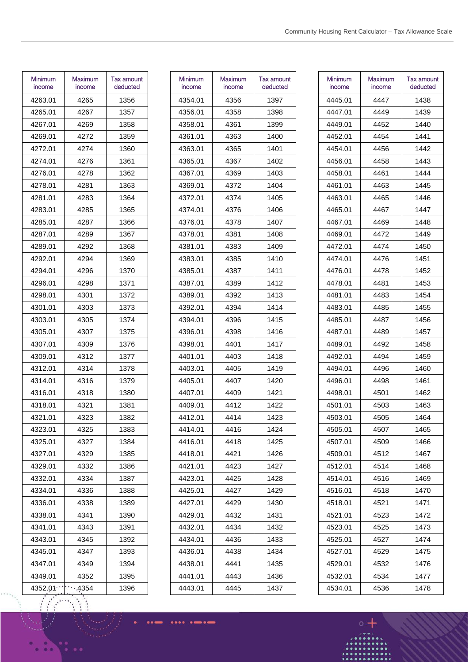| <b>Minimum</b><br>income | Maximum<br>income | <b>Tax amount</b><br>deducted |
|--------------------------|-------------------|-------------------------------|
| 4263.01                  | 4265              | 1356                          |
| 4265.01                  | 4267              | 1357                          |
| 4267.01                  | 4269              | 1358                          |
| 4269.01                  | 4272              | 1359                          |
| 4272.01                  | 4274              | 1360                          |
| 4274.01                  | 4276              | 1361                          |
| 4276.01                  | 4278              | 1362                          |
| 4278.01                  | 4281              | 1363                          |
| 4281.01                  | 4283              | 1364                          |
| 4283.01                  | 4285              | 1365                          |
| 4285.01                  | 4287              | 1366                          |
| 4287.01                  | 4289              | 1367                          |
| 4289.01                  | 4292              | 1368                          |
| 4292.01                  | 4294              | 1369                          |
| 4294.01                  | 4296              | 1370                          |
| 4296.01                  | 4298              | 1371                          |
| 4298.01                  | 4301              | 1372                          |
| 4301.01                  | 4303              | 1373                          |
| 4303.01                  | 4305              | 1374                          |
| 4305.01                  | 4307              | 1375                          |
| 4307.01                  | 4309              | 1376                          |
| 4309.01                  | 4312              | 1377                          |
| 4312.01                  | 4314              | 1378                          |
| 4314.01                  | 4316              | 1379                          |
| 4316.01                  | 4318              | 1380                          |
| 4318.01                  | 4321              | 1381                          |
| 4321.01                  | 4323              | 1382                          |
| 4323.01                  | 4325              | 1383                          |
| 4325.01                  | 4327              | 1384                          |
| 4327.01                  | 4329              | 1385                          |
| 4329.01                  | 4332              | 1386                          |
| 4332.01                  | 4334              | 1387                          |
| 4334.01                  | 4336              | 1388                          |
| 4336.01                  | 4338              | 1389                          |
| 4338.01                  | 4341              | 1390                          |
| 4341.01                  | 4343              | 1391                          |
| 4343.01                  | 4345              | 1392                          |
| 4345.01                  | 4347              | 1393                          |
| 4347.01                  | 4349              | 1394                          |
| 4349.01                  | 4352              | 1395                          |
| 4352.01                  | 4354              | 1396                          |

| Minimum<br>income | Maximum<br>income | Tax amount<br>deducted |
|-------------------|-------------------|------------------------|
| 4354.01           | 4356              | 1397                   |
| 4356.01           | 4358              | 1398                   |
| 4358.01           | 4361              | 1399                   |
| 4361.01           | 4363              | 1400                   |
| 4363.01           | 4365              | 1401                   |
| 4365.01           | 4367              | 1402                   |
| 4367.01           | 4369              | 1403                   |
| 4369.01           | 4372              | 1404                   |
| 4372.01           | 4374              | 1405                   |
| 4374.01           | 4376              | 1406                   |
| 4376.01           | 4378              | 1407                   |
| 4378.01           | 4381              | 1408                   |
| 4381.01           | 4383              | 1409                   |
| 4383.01           | 4385              | 1410                   |
| 4385.01           | 4387              | 1411                   |
| 4387.01           | 4389              | 1412                   |
| 4389.01           | 4392              | 1413                   |
| 4392.01           | 4394              | 1414                   |
| 4394.01           | 4396              | 1415                   |
| 4396.01           | 4398              | 1416                   |
| 4398.01           | 4401              | 1417                   |
| 4401.01           | 4403              | 1418                   |
| 4403.01           | 4405              | 1419                   |
| 4405.01           | 4407              | 1420                   |
| 4407.01           | 4409              | 1421                   |
| 4409.01           | 4412              | 1422                   |
| 4412.01           | 4414              | 1423                   |
| 4414.01           | 4416              | 1424                   |
| 4416.01           | 4418              | 1425                   |
| 4418.01           | 4421              | 1426                   |
| 4421.01           | 4423              | 1427                   |
| 4423.01           | 4425              | 1428                   |
| 4425.01           | 4427              | 1429                   |
| 4427.01           | 4429              | 1430                   |
| 4429.01           | 4432              | 1431                   |
| 4432.01           | 4434              | 1432                   |
| 4434.01           | 4436              | 1433                   |
| 4436.01           | 4438              | 1434                   |
| 4438.01           | 4441              | 1435                   |
| 4441.01           | 4443              | 1436                   |
| 4443.01           | 4445              | 1437                   |
|                   |                   |                        |

| Minimum<br>income | Maximum<br>income | Tax amount<br>deducted |
|-------------------|-------------------|------------------------|
| 4445.01           | 4447              | 1438                   |
| 4447.01           | 4449              | 1439                   |
| 4449.01           | 4452              | 1440                   |
| 4452.01           | 4454              | 1441                   |
| 4454.01           | 4456              | 1442                   |
| 4456.01           | 4458              | 1443                   |
| 4458.01           | 4461              | 1444                   |
| 4461.01           | 4463              | 1445                   |
| 4463.01           | 4465              | 1446                   |
| 4465.01           | 4467              | 1447                   |
| 4467.01           | 4469              | 1448                   |
| 4469.01           | 4472              | 1449                   |
| 4472.01           | 4474              | 1450                   |
| 4474.01           | 4476              | 1451                   |
| 4476.01           | 4478              | 1452                   |
| 4478.01           | 4481              | 1453                   |
| 4481.01           | 4483              | 1454                   |
| 4483.01           | 4485              | 1455                   |
| 4485.01           | 4487              | 1456                   |
| 4487.01           | 4489              | 1457                   |
| 4489.01           | 4492              | 1458                   |
| 4492.01           | 4494              | 1459                   |
| 4494.01           | 4496              | 1460                   |
| 4496.01           | 4498              | 1461                   |
| 4498.01           | 4501              | 1462                   |
| 4501.01           | 4503              | 1463                   |
| 4503.01           | 4505              | 1464                   |
| 4505.01           | 4507              | 1465                   |
| 4507.01           | 4509              | 1466                   |
| 4509.01           | 4512              | 1467                   |
| 4512.01           | 4514              | 1468                   |
| 4514.01           | 4516              | 1469                   |
| 4516.01           | 4518              | 1470                   |
| 4518.01           | 4521              | 1471                   |
| 4521.01           | 4523              | 1472                   |
| 4523.01           | 4525              | 1473                   |
| 4525.01           | 4527              | 1474                   |
| 4527.01           | 4529              | 1475                   |
| 4529.01           | 4532              | 1476                   |
| 4532.01           | 4534              | 1477                   |
| 4534.01           | 4536              | 1478                   |

.....

....  $^{\circ}$ 

. . .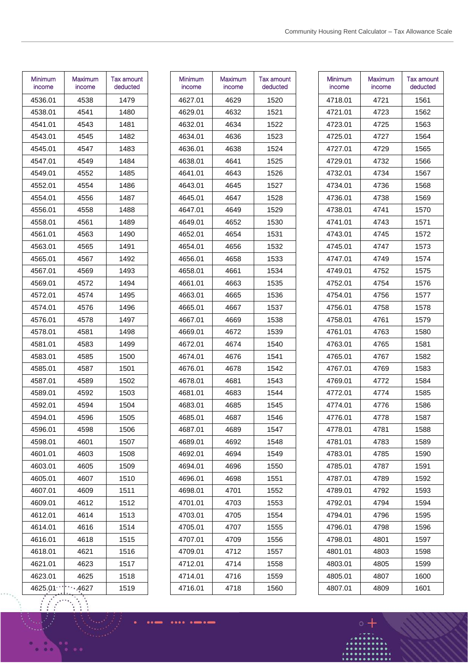| Minimum<br>income | Maximum<br>income | Tax amount<br>deducted |
|-------------------|-------------------|------------------------|
| 4536.01           | 4538              | 1479                   |
| 4538.01           | 4541              | 1480                   |
| 4541.01           | 4543              | 1481                   |
| 4543.01           | 4545              | 1482                   |
| 4545.01           | 4547              | 1483                   |
| 4547.01           | 4549              | 1484                   |
| 4549.01           | 4552              | 1485                   |
| 4552.01           | 4554              | 1486                   |
| 4554.01           | 4556              | 1487                   |
| 4556.01           | 4558              | 1488                   |
| 4558.01           | 4561              | 1489                   |
| 4561.01           | 4563              | 1490                   |
| 4563.01           | 4565              | 1491                   |
| 4565.01           | 4567              | 1492                   |
| 4567.01           | 4569              | 1493                   |
| 4569.01           | 4572              | 1494                   |
| 4572.01           | 4574              | 1495                   |
| 4574.01           | 4576              | 1496                   |
| 4576.01           | 4578              | 1497                   |
| 4578.01           | 4581              | 1498                   |
| 4581.01           | 4583              | 1499                   |
| 4583.01           | 4585              | 1500                   |
| 4585.01           | 4587              | 1501                   |
| 4587.01           | 4589              | 1502                   |
| 4589.01           | 4592              | 1503                   |
| 4592.01           | 4594              | 1504                   |
| 4594.01           | 4596              | 1505                   |
| 4596.01           | 4598              | 1506                   |
| 4598.01           | 4601              | 1507                   |
| 4601.01           | 4603              | 1508                   |
| 4603.01           | 4605              | 1509                   |
| 4605.01           | 4607              | 1510                   |
| 4607.01           | 4609              | 1511                   |
| 4609.01           | 4612              | 1512                   |
| 4612.01           | 4614              | 1513                   |
| 4614.01           | 4616              | 1514                   |
| 4616.01           | 4618              | 1515                   |
| 4618.01           | 4621              | 1516                   |
| 4621.01           | 4623              | 1517                   |
| 4623.01           | 4625              | 1518                   |
| 4625.01           | 4627              | 1519                   |

| Minimum<br>income | Maximum<br>income | Tax amount<br>deducted |
|-------------------|-------------------|------------------------|
| 4627.01           | 4629              | 1520                   |
| 4629.01           | 4632              | 1521                   |
| 4632.01           | 4634              | 1522                   |
| 4634.01           | 4636              | 1523                   |
| 4636.01           | 4638              | 1524                   |
| 4638.01           | 4641              | 1525                   |
| 4641.01           | 4643              | 1526                   |
| 4643.01           | 4645              | 1527                   |
| 4645.01           | 4647              | 1528                   |
| 4647.01           | 4649              | 1529                   |
| 4649.01           | 4652              | 1530                   |
| 4652.01           | 4654              | 1531                   |
| 4654.01           | 4656              | 1532                   |
| 4656.01           | 4658              | 1533                   |
| 4658.01           | 4661              | 1534                   |
| 4661.01           | 4663              | 1535                   |
| 4663.01           | 4665              | 1536                   |
| 4665.01           | 4667              | 1537                   |
| 4667.01           | 4669              | 1538                   |
| 4669.01           | 4672              | 1539                   |
| 4672.01           | 4674              | 1540                   |
| 4674.01           | 4676              | 1541                   |
| 4676.01           | 4678              | 1542                   |
| 4678.01           | 4681              | 1543                   |
| 4681.01           | 4683              | 1544                   |
| 4683.01           | 4685              | 1545                   |
| 4685.01           | 4687              | 1546                   |
| 4687.01           | 4689              | 1547                   |
| 4689.01           | 4692              | 1548                   |
| 4692.01           | 4694              | 1549                   |
| 4694.01           | 4696              | 1550                   |
| 4696.01           | 4698              | 1551                   |
| 4698.01           | 4701              | 1552                   |
| 4701.01           | 4703              | 1553                   |
| 4703.01           | 4705              | 1554                   |
| 4705.01           | 4707              | 1555                   |
| 4707.01           | 4709              | 1556                   |
| 4709.01           | 4712              | 1557                   |
| 4712.01           | 4714              | 1558                   |
| 4714.01           | 4716              | 1559                   |
| 4716.01           | 4718              | 1560                   |
|                   |                   |                        |

| Minimum<br>income | Maximum<br>income | <b>Tax amount</b><br>deducted |
|-------------------|-------------------|-------------------------------|
| 4718.01           | 4721              | 1561                          |
| 4721.01           | 4723              | 1562                          |
| 4723.01           | 4725              | 1563                          |
| 4725.01           | 4727              | 1564                          |
| 4727.01           | 4729              | 1565                          |
| 4729.01           | 4732              | 1566                          |
| 4732.01           | 4734              | 1567                          |
| 4734.01           | 4736              | 1568                          |
| 4736.01           | 4738              | 1569                          |
| 4738.01           | 4741              | 1570                          |
| 4741.01           | 4743              | 1571                          |
| 4743.01           | 4745              | 1572                          |
| 4745.01           | 4747              | 1573                          |
| 4747.01           | 4749              | 1574                          |
| 4749.01           | 4752              | 1575                          |
| 4752.01           | 4754              | 1576                          |
| 4754.01           | 4756              | 1577                          |
| 4756.01           | 4758              | 1578                          |
| 4758.01           | 4761              | 1579                          |
| 4761.01           | 4763              | 1580                          |
| 4763.01           | 4765              | 1581                          |
| 4765.01           | 4767              | 1582                          |
| 4767.01           | 4769              | 1583                          |
| 4769.01           | 4772              | 1584                          |
| 4772.01           | 4774              | 1585                          |
| 4774.01           | 4776              | 1586                          |
| 4776.01           | 4778              | 1587                          |
| 4778.01           | 4781              | 1588                          |
| 4781.01           | 4783              | 1589                          |
| 4783.01           | 4785              | 1590                          |
| 4785.01           | 4787              | 1591                          |
| 4787.01           | 4789              | 1592                          |
| 4789.01           | 4792              | 1593                          |
| 4792.01           | 4794              | 1594                          |
| 4794.01           | 4796              | 1595                          |
| 4796.01           | 4798              | 1596                          |
| 4798.01           | 4801              | 1597                          |
| 4801.01           | 4803              | 1598                          |
| 4803.01           | 4805              | 1599                          |
| 4805.01           | 4807              | 1600                          |
| 4807.01           | 4809              | 1601                          |